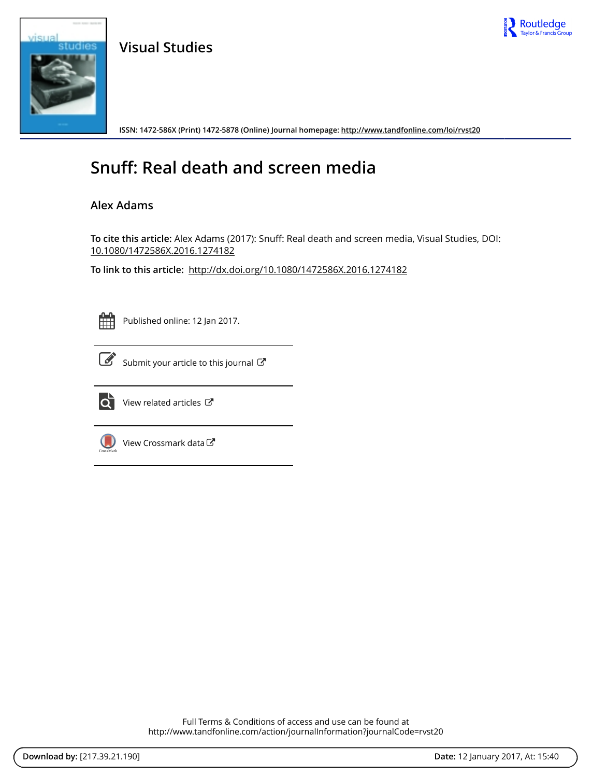

**Visual Studies**



**ISSN: 1472-586X (Print) 1472-5878 (Online) Journal homepage: <http://www.tandfonline.com/loi/rvst20>**

# **Snuff: Real death and screen media**

### **Alex Adams**

**To cite this article:** Alex Adams (2017): Snuff: Real death and screen media, Visual Studies, DOI: [10.1080/1472586X.2016.1274182](http://www.tandfonline.com/action/showCitFormats?doi=10.1080/1472586X.2016.1274182)

**To link to this article:** <http://dx.doi.org/10.1080/1472586X.2016.1274182>



Published online: 12 Jan 2017.



 $\overline{\mathscr{G}}$  [Submit your article to this journal](http://www.tandfonline.com/action/authorSubmission?journalCode=rvst20&show=instructions)  $\mathbb{F}$ 



 $\overrightarrow{Q}$  [View related articles](http://www.tandfonline.com/doi/mlt/10.1080/1472586X.2016.1274182)  $\overrightarrow{C}$ 



[View Crossmark data](http://crossmark.crossref.org/dialog/?doi=10.1080/1472586X.2016.1274182&domain=pdf&date_stamp=2017-01-12)

Full Terms & Conditions of access and use can be found at <http://www.tandfonline.com/action/journalInformation?journalCode=rvst20>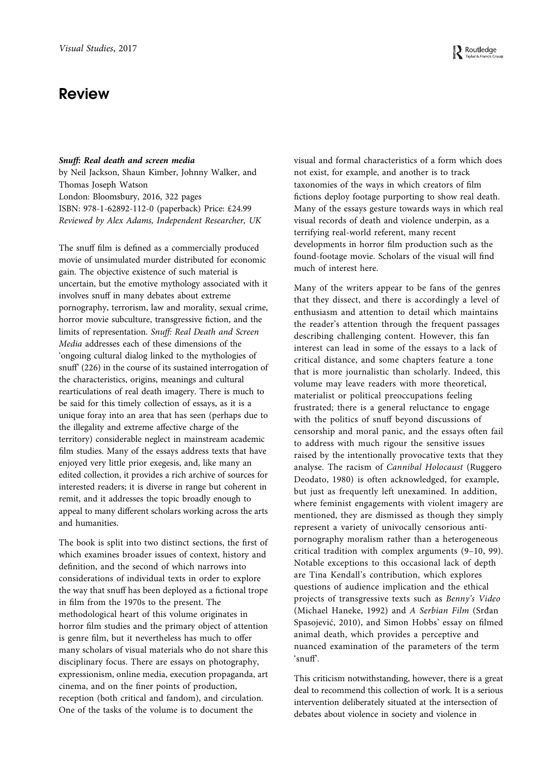## **Review**

#### Snuff: Real death and screen media

by Neil Jackson, Shaun Kimber, Johnny Walker, and Thomas Joseph Watson London: Bloomsbury, 2016, 322 pages ISBN: 978-1-62892-112-0 (paperback) Price: £24.99 Reviewed by Alex Adams, Independent Researcher, UK

The snuff film is defined as a commercially produced movie of unsimulated murder distributed for economic gain. The objective existence of such material is uncertain, but the emotive mythology associated with it involves snuff in many debates about extreme pornography, terrorism, law and morality, sexual crime, horror movie subculture, transgressive fiction, and the limits of representation. Snuff: Real Death and Screen Media addresses each of these dimensions of the 'ongoing cultural dialog linked to the mythologies of snuff' (226) in the course of its sustained interrogation of the characteristics, origins, meanings and cultural rearticulations of real death imagery. There is much to be said for this timely collection of essays, as it is a unique foray into an area that has seen (perhaps due to the illegality and extreme affective charge of the territory) considerable neglect in mainstream academic film studies. Many of the essays address texts that have enjoyed very little prior exegesis, and, like many an edited collection, it provides a rich archive of sources for interested readers; it is diverse in range but coherent in remit, and it addresses the topic broadly enough to appeal to many different scholars working across the arts and humanities.

The book is split into two distinct sections, the first of which examines broader issues of context, history and definition, and the second of which narrows into considerations of individual texts in order to explore the way that snuff has been deployed as a fictional trope in film from the 1970s to the present. The methodological heart of this volume originates in horror film studies and the primary object of attention is genre film, but it nevertheless has much to offer many scholars of visual materials who do not share this disciplinary focus. There are essays on photography, expressionism, online media, execution propaganda, art cinema, and on the finer points of production, reception (both critical and fandom), and circulation. One of the tasks of the volume is to document the

visual and formal characteristics of a form which does not exist, for example, and another is to track taxonomies of the ways in which creators of film fictions deploy footage purporting to show real death. Many of the essays gesture towards ways in which real visual records of death and violence underpin, as a terrifying real-world referent, many recent developments in horror film production such as the found-footage movie. Scholars of the visual will find much of interest here.

Many of the writers appear to be fans of the genres that they dissect, and there is accordingly a level of enthusiasm and attention to detail which maintains the reader's attention through the frequent passages describing challenging content. However, this fan interest can lead in some of the essays to a lack of critical distance, and some chapters feature a tone that is more journalistic than scholarly. Indeed, this volume may leave readers with more theoretical, materialist or political preoccupations feeling frustrated; there is a general reluctance to engage with the politics of snuff beyond discussions of censorship and moral panic, and the essays often fail to address with much rigour the sensitive issues raised by the intentionally provocative texts that they analyse. The racism of Cannibal Holocaust (Ruggero Deodato, 1980) is often acknowledged, for example, but just as frequently left unexamined. In addition, where feminist engagements with violent imagery are mentioned, they are dismissed as though they simply represent a variety of univocally censorious antipornography moralism rather than a heterogeneous critical tradition with complex arguments (9–10, 99). Notable exceptions to this occasional lack of depth are Tina Kendall's contribution, which explores questions of audience implication and the ethical projects of transgressive texts such as Benny's Video (Michael Haneke, 1992) and A Serbian Film (Srđan Spasojević, 2010), and Simon Hobbs' essay on filmed animal death, which provides a perceptive and nuanced examination of the parameters of the term  $'$ snuff'.

This criticism notwithstanding, however, there is a great deal to recommend this collection of work. It is a serious intervention deliberately situated at the intersection of debates about violence in society and violence in